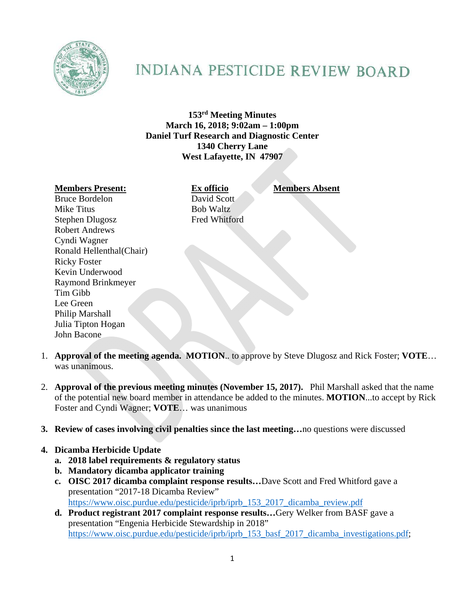

## **INDIANA PESTICIDE REVIEW BOARD**

**153rd Meeting Minutes March 16, 2018; 9:02am – 1:00pm Daniel Turf Research and Diagnostic Center 1340 Cherry Lane West Lafayette, IN 47907** 

## **Members Present: Ex officio Members Absent**

Bruce Bordelon David Scott Mike Titus Bob Waltz Stephen Dlugosz Fred Whitford Robert Andrews Cyndi Wagner Ronald Hellenthal(Chair) Ricky Foster Kevin Underwood Raymond Brinkmeyer Tim Gibb Lee Green Philip Marshall Julia Tipton Hogan John Bacone

- 1. **Approval of the meeting agenda. MOTION**.. to approve by Steve Dlugosz and Rick Foster; **VOTE**… was unanimous.
- 2. **Approval of the previous meeting minutes (November 15, 2017).** Phil Marshall asked that the name of the potential new board member in attendance be added to the minutes. **MOTION**...to accept by Rick Foster and Cyndi Wagner; **VOTE**… was unanimous
- **3. Review of cases involving civil penalties since the last meeting…**no questions were discussed

## **4. Dicamba Herbicide Update**

- **a. 2018 label requirements & regulatory status**
- **b. Mandatory dicamba applicator training**
- **c. OISC 2017 dicamba complaint response results…**Dave Scott and Fred Whitford gave a presentation "2017-18 Dicamba Review" https://www.oisc.purdue.edu/pesticide/iprb/iprb\_153\_2017\_dicamba\_review.pdf
- **d. Product registrant 2017 complaint response results…**Gery Welker from BASF gave a presentation "Engenia Herbicide Stewardship in 2018" https://www.oisc.purdue.edu/pesticide/iprb/iprb\_153\_basf\_2017\_dicamba\_investigations.pdf;